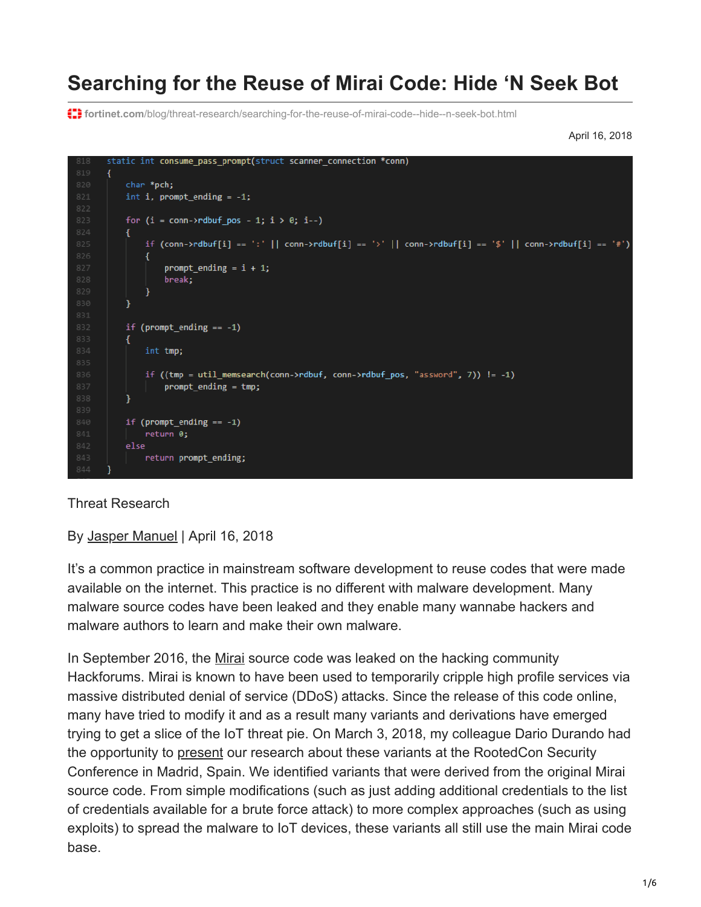# **Searching for the Reuse of Mirai Code: Hide 'N Seek Bot**

**fortinet.com**[/blog/threat-research/searching-for-the-reuse-of-mirai-code--hide--n-seek-bot.html](https://www.fortinet.com/blog/threat-research/searching-for-the-reuse-of-mirai-code--hide--n-seek-bot.html)

April 16, 2018

```
static int consume_pass_prompt(struct scanner_connection *conn)
char *pch;
int i, prompt_ending = -1;
 for (i = conn-)rdbuf\_pos - 1; i > 0; i--)\mathcal{L}if (conn->rdbuf[i] == ':' || conn->rdbuf[i] == '>' || conn->rdbuf[i] == '$' || conn->rdbuf[i] == '#')
         prompt\_ending = i + 1;break;
 if (prompt_ending == -1)
 \left\{ \right.int tmp;
     if ((tmp = util_memsearch(conn->rdbuf, conn->rdbuf_pos, "assword", 7)) != -1)
         prompt\_ending = tmp;if (prompt\_ending == -1)return 0:
else
     return prompt_ending;
```
Threat Research

By [Jasper Manuel](https://www.fortinet.com/blog/search?author=Jasper+Manuel) | April 16, 2018

It's a common practice in mainstream software development to reuse codes that were made available on the internet. This practice is no different with malware development. Many malware source codes have been leaked and they enable many wannabe hackers and malware authors to learn and make their own malware.

In September 2016, the [Mirai](https://krebsonsecurity.com/2016/10/source-code-for-iot-botnet-mirai-released/) source code was leaked on the hacking community Hackforums. Mirai is known to have been used to temporarily cripple high profile services via massive distributed denial of service (DDoS) attacks. Since the release of this code online, many have tried to modify it and as a result many variants and derivations have emerged trying to get a slice of the IoT threat pie. On March 3, 2018, my colleague Dario Durando had the opportunity to [present](https://fortiguard.com/events/2139/internet-of-things-battle-of-the-bots) our research about these variants at the RootedCon Security Conference in Madrid, Spain. We identified variants that were derived from the original Mirai source code. From simple modifications (such as just adding additional credentials to the list of credentials available for a brute force attack) to more complex approaches (such as using exploits) to spread the malware to IoT devices, these variants all still use the main Mirai code base.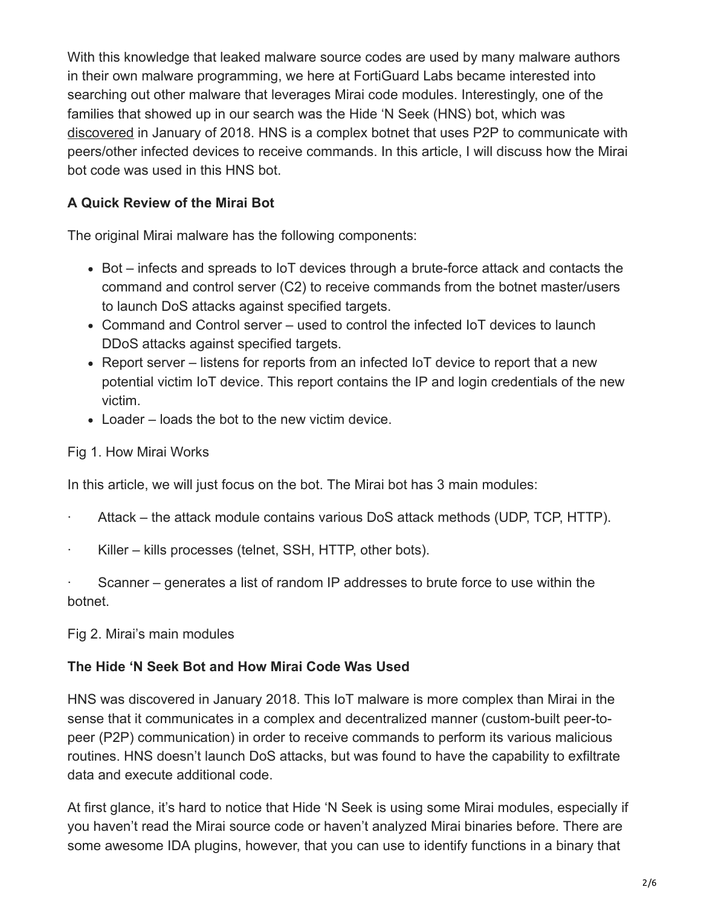With this knowledge that leaked malware source codes are used by many malware authors in their own malware programming, we here at FortiGuard Labs became interested into searching out other malware that leverages Mirai code modules. Interestingly, one of the families that showed up in our search was the Hide 'N Seek (HNS) bot, which was [discovered](https://www.securityweek.com/hide-n-seek-iot-botnet-ensnares-20000-devices-days) in January of 2018. HNS is a complex botnet that uses P2P to communicate with peers/other infected devices to receive commands. In this article, I will discuss how the Mirai bot code was used in this HNS bot.

## **A Quick Review of the Mirai Bot**

The original Mirai malware has the following components:

- Bot infects and spreads to IoT devices through a brute-force attack and contacts the command and control server (C2) to receive commands from the botnet master/users to launch DoS attacks against specified targets.
- Command and Control server used to control the infected IoT devices to launch DDoS attacks against specified targets.
- Report server listens for reports from an infected IoT device to report that a new potential victim IoT device. This report contains the IP and login credentials of the new victim.
- Loader loads the bot to the new victim device.

#### Fig 1. How Mirai Works

In this article, we will just focus on the bot. The Mirai bot has 3 main modules:

- Attack the attack module contains various DoS attack methods (UDP, TCP, HTTP).
- · Killer kills processes (telnet, SSH, HTTP, other bots).

· Scanner – generates a list of random IP addresses to brute force to use within the botnet.

Fig 2. Mirai's main modules

### **The Hide 'N Seek Bot and How Mirai Code Was Used**

HNS was discovered in January 2018. This IoT malware is more complex than Mirai in the sense that it communicates in a complex and decentralized manner (custom-built peer-topeer (P2P) communication) in order to receive commands to perform its various malicious routines. HNS doesn't launch DoS attacks, but was found to have the capability to exfiltrate data and execute additional code.

At first glance, it's hard to notice that Hide 'N Seek is using some Mirai modules, especially if you haven't read the Mirai source code or haven't analyzed Mirai binaries before. There are some awesome IDA plugins, however, that you can use to identify functions in a binary that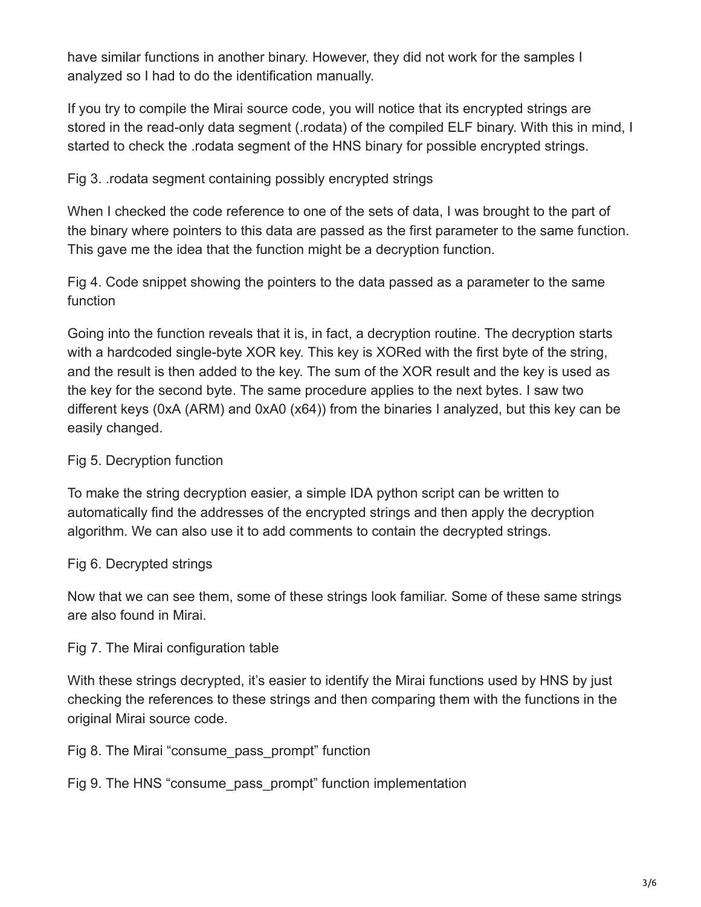have similar functions in another binary. However, they did not work for the samples I analyzed so I had to do the identification manually.

If you try to compile the Mirai source code, you will notice that its encrypted strings are stored in the read-only data segment (.rodata) of the compiled ELF binary. With this in mind, I started to check the .rodata segment of the HNS binary for possible encrypted strings.

## Fig 3. .rodata segment containing possibly encrypted strings

When I checked the code reference to one of the sets of data, I was brought to the part of the binary where pointers to this data are passed as the first parameter to the same function. This gave me the idea that the function might be a decryption function.

Fig 4. Code snippet showing the pointers to the data passed as a parameter to the same function

Going into the function reveals that it is, in fact, a decryption routine. The decryption starts with a hardcoded single-byte XOR key. This key is XORed with the first byte of the string, and the result is then added to the key. The sum of the XOR result and the key is used as the key for the second byte. The same procedure applies to the next bytes. I saw two different keys (0xA (ARM) and 0xA0 (x64)) from the binaries I analyzed, but this key can be easily changed.

## Fig 5. Decryption function

To make the string decryption easier, a simple IDA python script can be written to automatically find the addresses of the encrypted strings and then apply the decryption algorithm. We can also use it to add comments to contain the decrypted strings.

## Fig 6. Decrypted strings

Now that we can see them, some of these strings look familiar. Some of these same strings are also found in Mirai.

### Fig 7. The Mirai configuration table

With these strings decrypted, it's easier to identify the Mirai functions used by HNS by just checking the references to these strings and then comparing them with the functions in the original Mirai source code.

Fig 8. The Mirai "consume\_pass\_prompt" function

Fig 9. The HNS "consume\_pass\_prompt" function implementation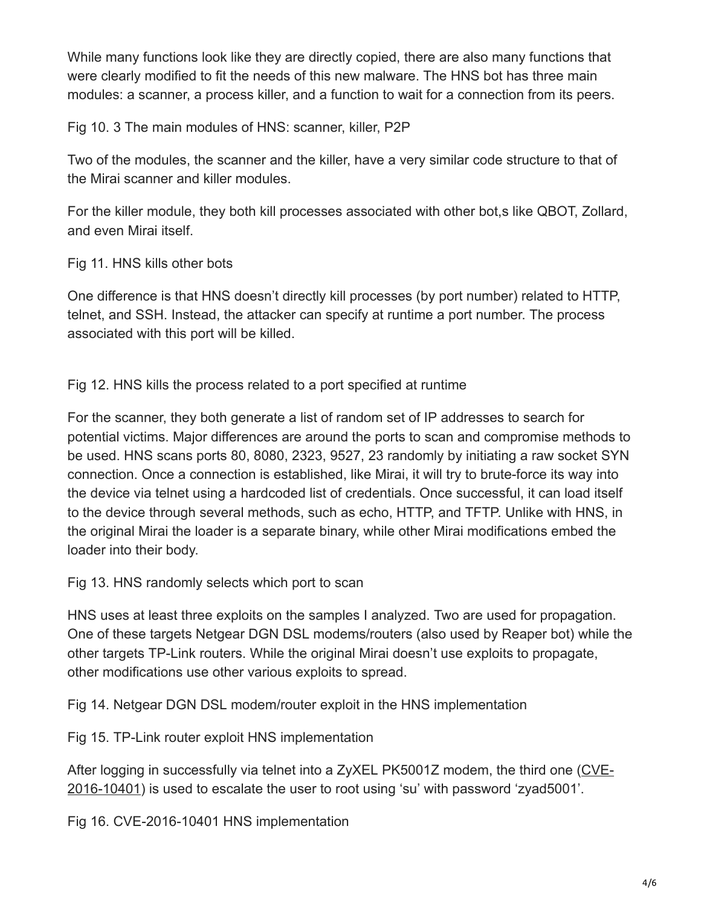While many functions look like they are directly copied, there are also many functions that were clearly modified to fit the needs of this new malware. The HNS bot has three main modules: a scanner, a process killer, and a function to wait for a connection from its peers.

Fig 10. 3 The main modules of HNS: scanner, killer, P2P

Two of the modules, the scanner and the killer, have a very similar code structure to that of the Mirai scanner and killer modules.

For the killer module, they both kill processes associated with other bot,s like QBOT, Zollard, and even Mirai itself.

Fig 11. HNS kills other bots

One difference is that HNS doesn't directly kill processes (by port number) related to HTTP, telnet, and SSH. Instead, the attacker can specify at runtime a port number. The process associated with this port will be killed.

Fig 12. HNS kills the process related to a port specified at runtime

For the scanner, they both generate a list of random set of IP addresses to search for potential victims. Major differences are around the ports to scan and compromise methods to be used. HNS scans ports 80, 8080, 2323, 9527, 23 randomly by initiating a raw socket SYN connection. Once a connection is established, like Mirai, it will try to brute-force its way into the device via telnet using a hardcoded list of credentials. Once successful, it can load itself to the device through several methods, such as echo, HTTP, and TFTP. Unlike with HNS, in the original Mirai the loader is a separate binary, while other Mirai modifications embed the loader into their body.

Fig 13. HNS randomly selects which port to scan

HNS uses at least three exploits on the samples I analyzed. Two are used for propagation. One of these targets Netgear DGN DSL modems/routers (also used by Reaper bot) while the other targets TP-Link routers. While the original Mirai doesn't use exploits to propagate, other modifications use other various exploits to spread.

Fig 14. Netgear DGN DSL modem/router exploit in the HNS implementation

Fig 15. TP-Link router exploit HNS implementation

[After logging in successfully via telnet into a ZyXEL PK5001Z modem, the third one \(CVE-](https://www.exploit-db.com/exploits/43105/)2016-10401) is used to escalate the user to root using 'su' with password 'zyad5001'.

Fig 16. CVE-2016-10401 HNS implementation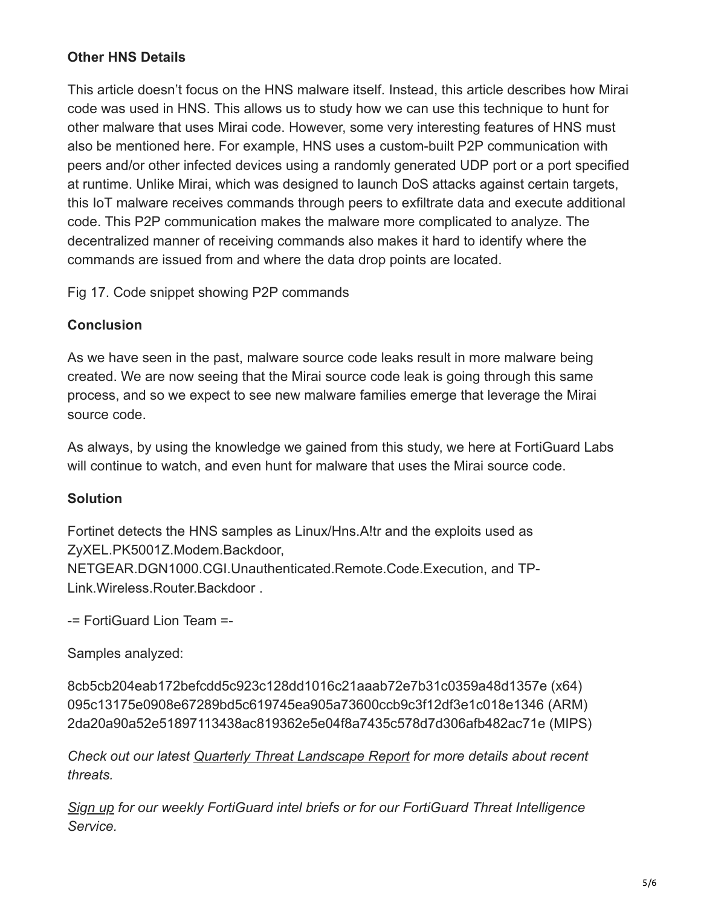## **Other HNS Details**

This article doesn't focus on the HNS malware itself. Instead, this article describes how Mirai code was used in HNS. This allows us to study how we can use this technique to hunt for other malware that uses Mirai code. However, some very interesting features of HNS must also be mentioned here. For example, HNS uses a custom-built P2P communication with peers and/or other infected devices using a randomly generated UDP port or a port specified at runtime. Unlike Mirai, which was designed to launch DoS attacks against certain targets, this IoT malware receives commands through peers to exfiltrate data and execute additional code. This P2P communication makes the malware more complicated to analyze. The decentralized manner of receiving commands also makes it hard to identify where the commands are issued from and where the data drop points are located.

Fig 17. Code snippet showing P2P commands

### **Conclusion**

As we have seen in the past, malware source code leaks result in more malware being created. We are now seeing that the Mirai source code leak is going through this same process, and so we expect to see new malware families emerge that leverage the Mirai source code.

As always, by using the knowledge we gained from this study, we here at FortiGuard Labs will continue to watch, and even hunt for malware that uses the Mirai source code.

### **Solution**

Fortinet detects the HNS samples as Linux/Hns.A!tr and the exploits used as ZyXEL.PK5001Z.Modem.Backdoor, NETGEAR.DGN1000.CGI.Unauthenticated.Remote.Code.Execution, and TP-Link.Wireless.Router.Backdoor .

-= FortiGuard Lion Team =-

Samples analyzed:

8cb5cb204eab172befcdd5c923c128dd1016c21aaab72e7b31c0359a48d1357e (x64) 095c13175e0908e67289bd5c619745ea905a73600ccb9c3f12df3e1c018e1346 (ARM) 2da20a90a52e51897113438ac819362e5e04f8a7435c578d7d306afb482ac71e (MIPS)

*Check out our latest [Quarterly Threat Landscape Report](http://go.fortinet.com/LP=4272?utm_source=social&utm_medium=blog&utm_campaign=GEN-WP-Q4-2017-Fortinet-Threat-Landscape-Report&elq_src=Social&elq_cid=70134000001CrlBAAS&elq_staid=10&elq_eid=9168&elq_sid=9780) for more details about recent threats.*

*[Sign up](https://www.fortinet.com/fortiguard/threat-intelligence/threat-research.html) for our weekly FortiGuard intel briefs or for our FortiGuard Threat Intelligence Service.*